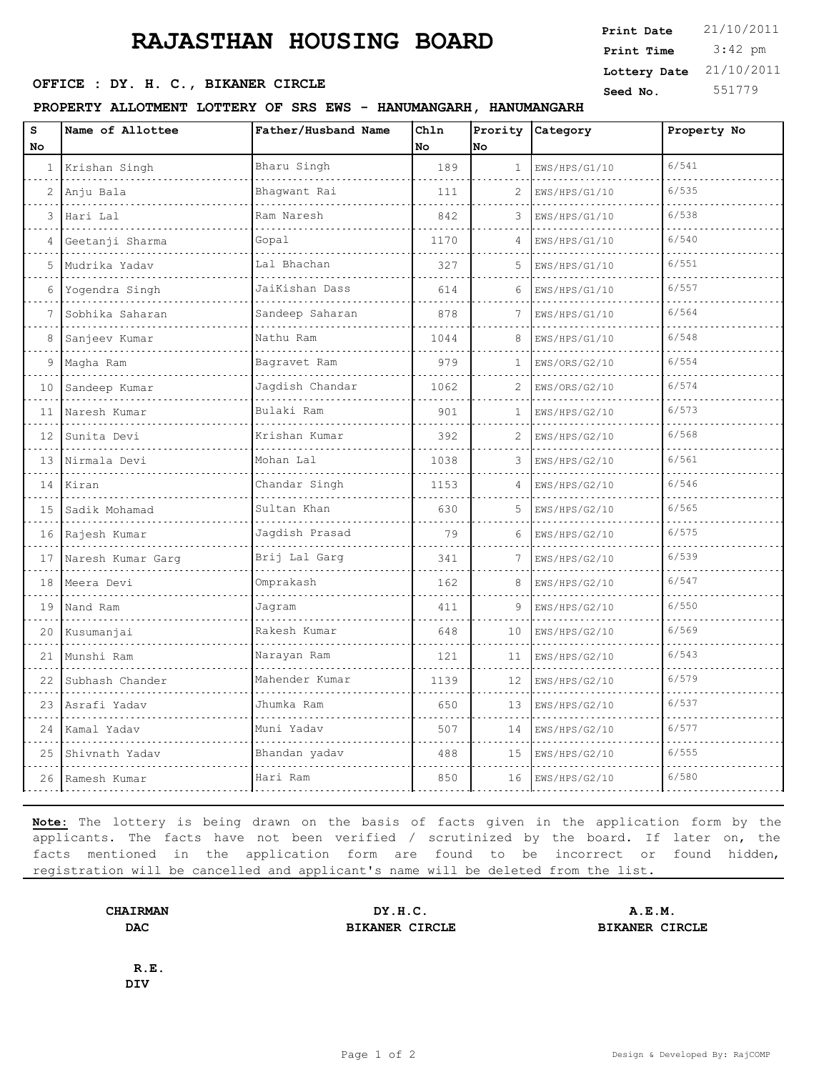# **RAJASTHAN HOUSING BOARD**

#### PROPERTY ALLOTMENT LOTTERY OF SRS EWS - HANUMANG

| www.news.communications.com                                      | <b>Print Time</b> $3:42$ pm |        |
|------------------------------------------------------------------|-----------------------------|--------|
|                                                                  | Lottery Date $21/10/2011$   |        |
| OFFICE : DY. H. C., BIKANER CIRCLE                               | Seed No.                    | 551779 |
| PROPERTY ALLOTMENT LOTTERY OF SRS EWS - HANUMANGARH, HANUMANGARH |                             |        |
|                                                                  |                             |        |

**Print Date**  $21/10/2011$ 

| No |                      |                 |      |              |               |       |
|----|----------------------|-----------------|------|--------------|---------------|-------|
|    |                      |                 | No   | lno.         |               |       |
|    | 1 Krishan Singh      | Bharu Singh     | 189  | $\mathbf{1}$ | EWS/HPS/G1/10 | 6/541 |
| 2  | Anju Bala            | Bhagwant Rai    | 111  | 2            | EWS/HPS/G1/10 | 6/535 |
| 3  | Hari Lal             | Ram Naresh      | 842  | 3            | EWS/HPS/G1/10 | 6/538 |
| 4  | Geetanji Sharma      | Gopal           | 1170 | 4            | EWS/HPS/G1/10 | 6/540 |
| 5  | Mudrika Yadav        | Lal Bhachan     | 327  | 5            | EWS/HPS/G1/10 | 6/551 |
| 6  | Yogendra Singh       | JaiKishan Dass  | 614  | 6            | EWS/HPS/G1/10 | 6/557 |
| 7  | Sobhika Saharan      | Sandeep Saharan | 878  | 7            | EWS/HPS/G1/10 | 6/564 |
| 8  | Sanjeev Kumar        | Nathu Ram       | 1044 | 8            | EWS/HPS/G1/10 | 6/548 |
| 9  | Magha Ram            | Bagravet Ram    | 979  | $\mathbf{1}$ | EWS/ORS/G2/10 | 6/554 |
| 10 | Sandeep Kumar        | Jagdish Chandar | 1062 | 2            | EWS/ORS/G2/10 | 6/574 |
| 11 | Naresh Kumar         | Bulaki Ram      | 901  | 1            | EWS/HPS/G2/10 | 6/573 |
| 12 | Sunita Devi          | Krishan Kumar   | 392  | 2            | EWS/HPS/G2/10 | 6/568 |
|    | 13 Nirmala Devi      | Mohan Lal       | 1038 | 3            | EWS/HPS/G2/10 | 6/561 |
|    | 14 Kiran             | Chandar Singh   | 1153 | 4            | EWS/HPS/G2/10 | 6/546 |
| 15 | Sadik Mohamad        | Sultan Khan     | 630  | 5            | EWS/HPS/G2/10 | 6/565 |
|    | 16 Rajesh Kumar<br>. | Jagdish Prasad  | 79   | 6            | EWS/HPS/G2/10 | 6/575 |
|    | 17 Naresh Kumar Garg | Brij Lal Garg   | 341  | 7            | EWS/HPS/G2/10 | 6/539 |
| 18 | Meera Devi<br>.      | Omprakash       | 162  | 8            | EWS/HPS/G2/10 | 6/547 |
| 19 | Nand Ram             | Jagram          | 411  | 9            | EWS/HPS/G2/10 | 6/550 |
| 20 | Kusumanjai           | Rakesh Kumar    | 648  | 10           | EWS/HPS/G2/10 | 6/569 |
| 21 | Munshi Ram           | Narayan Ram     | 121  | 11           | EWS/HPS/G2/10 | 6/543 |
| 22 | Subhash Chander      | Mahender Kumar  | 1139 | 12           | EWS/HPS/G2/10 | 6/579 |
| 23 | Asrafi Yadav         | Jhumka Ram      | 650  | 13           | EWS/HPS/G2/10 | 6/537 |
| 24 | Kamal Yadav          | Muni Yadav      | 507  | 14           | EWS/HPS/G2/10 | 6/577 |
| 25 | Shivnath Yadav       | Bhandan yadav   | 488  | 15           | EWS/HPS/G2/10 | 6/555 |
| 26 | Ramesh Kumar         | Hari Ram        | 850  | 16           | EWS/HPS/G2/10 | 6/580 |

**Note:** The lottery is being drawn on the basis of facts given in the application form by the applicants. The facts have not been verified / scrutinized by the board. If later on, the facts mentioned in the application form are found to be incorrect or found hidden, registration will be cancelled and applicant's name will be deleted from the list.

**DAC BIKANER CIRCLE BIKANER CIRCLE**

**CHAIRMAN DY.H.C. A.E.M.**

**R.E. DIV**